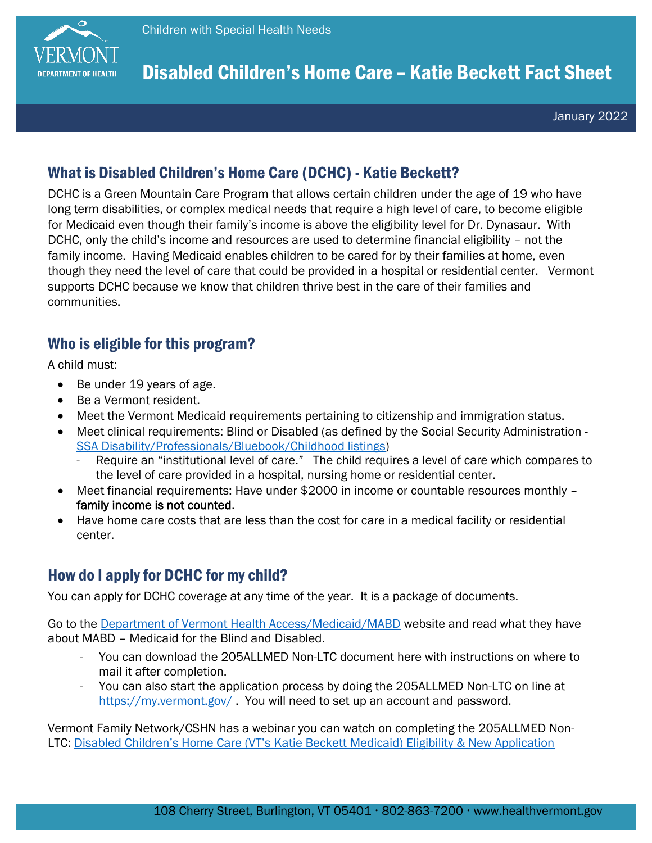

## What is Disabled Children's Home Care (DCHC) - Katie Beckett?

DCHC is a Green Mountain Care Program that allows certain children under the age of 19 who have long term disabilities, or complex medical needs that require a high level of care, to become eligible for Medicaid even though their family's income is above the eligibility level for Dr. Dynasaur. With DCHC, only the child's income and resources are used to determine financial eligibility – not the family income. Having Medicaid enables children to be cared for by their families at home, even though they need the level of care that could be provided in a hospital or residential center. Vermont supports DCHC because we know that children thrive best in the care of their families and communities.

## Who is eligible for this program?

A child must:

- Be under 19 years of age.
- Be a Vermont resident.
- Meet the Vermont Medicaid requirements pertaining to citizenship and immigration status.
- Meet clinical requirements: Blind or Disabled (as defined by the Social Security Administration [SSA Disability/Professionals/Bluebook/Childhood listings\)](https://www.ssa.gov/disability/professionals/bluebook/ChildhoodListings.htm)
	- Require an "institutional level of care." The child requires a level of care which compares to the level of care provided in a hospital, nursing home or residential center.
- Meet financial requirements: Have under \$2000 in income or countable resources monthly family income is not counted.
- Have home care costs that are less than the cost for care in a medical facility or residential center.

## How do I apply for DCHC for my child?

You can apply for DCHC coverage at any time of the year. It is a package of documents.

Go to the [Department of Vermont Health Access/Medicaid/MABD](https://dvha.vermont.gov/members/medicaid/medicaid-aged-blind-or-disabled-mabd) website and read what they have about MABD – Medicaid for the Blind and Disabled.

- You can download the 205ALLMED Non-LTC document here with instructions on where to mail it after completion.
- You can also start the application process by doing the 205ALLMED Non-LTC on line at <https://my.vermont.gov/>. You will need to set up an account and password.

Vermont Family Network/CSHN has a webinar you can watch on completing the 205ALLMED Non-LTC: [Disabled Children's Home Care \(VT's Katie Beckett](https://www.youtube.com/watch?v=rIMEGBlIWoI) Medicaid) Eligibility & New Application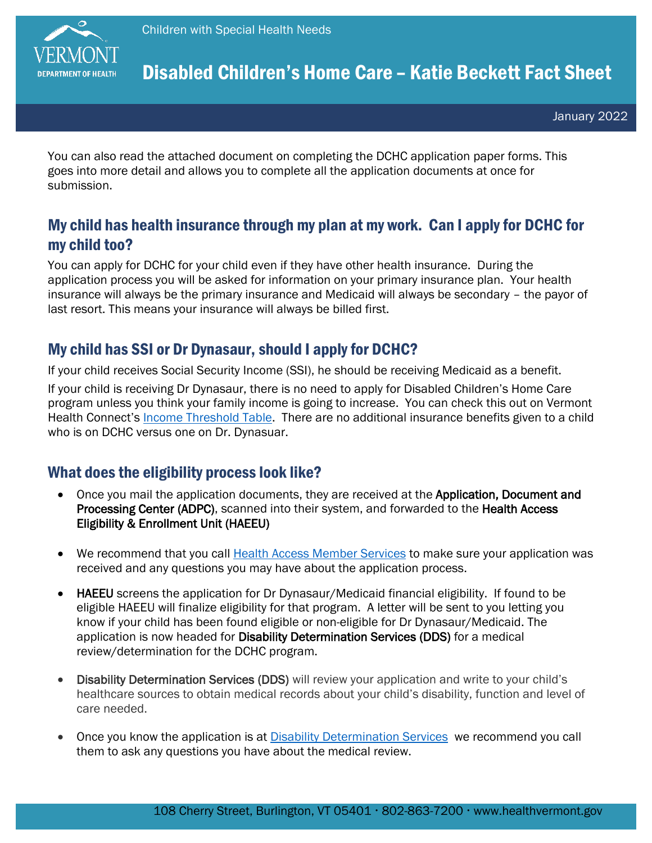

# DEPARTMENT OF HEALTH **Disabled Children's Home Care – Katie Beckett Fact Sheet**

January 2022

You can also read the attached document on completing the DCHC application paper forms. This goes into more detail and allows you to complete all the application documents at once for submission.

## My child has health insurance through my plan at my work. Can I apply for DCHC for my child too?

You can apply for DCHC for your child even if they have other health insurance. During the application process you will be asked for information on your primary insurance plan. Your health insurance will always be the primary insurance and Medicaid will always be secondary – the payor of last resort. This means your insurance will always be billed first.

## My child has SSI or Dr Dynasaur, should I apply for DCHC?

If your child receives Social Security Income (SSI), he should be receiving Medicaid as a benefit.

If your child is receiving Dr Dynasaur, there is no need to apply for Disabled Children's Home Care program unless you think your family income is going to increase. You can check this out on Vermont Health Connect's **[Income Threshold Table.](https://info.healthconnect.vermont.gov/compare-plans/eligibility-tables/2021-eligibility-tables)** There are no additional insurance benefits given to a child who is on DCHC versus one on Dr. Dynasuar.

### What does the eligibility process look like?

- Once you mail the application documents, they are received at the Application, Document and Processing Center (ADPC), scanned into their system, and forwarded to the Health Access Eligibility & Enrollment Unit (HAEEU)
- We recommend that you call [Health Access Member Services](https://dvha.vermont.gov/members/contact-us) to make sure your application was received and any questions you may have about the application process.
- HAEEU screens the application for Dr Dynasaur/Medicaid financial eligibility. If found to be eligible HAEEU will finalize eligibility for that program. A letter will be sent to you letting you know if your child has been found eligible or non-eligible for Dr Dynasaur/Medicaid. The application is now headed for Disability Determination Services (DDS) for a medical review/determination for the DCHC program.
- Disability Determination Services (DDS) will review your application and write to your child's healthcare sources to obtain medical records about your child's disability, function and level of care needed.
- Once you know the application is at [Disability Determination Services](https://dcf.vermont.gov/dds/contact-us) we recommend you call them to ask any questions you have about the medical review.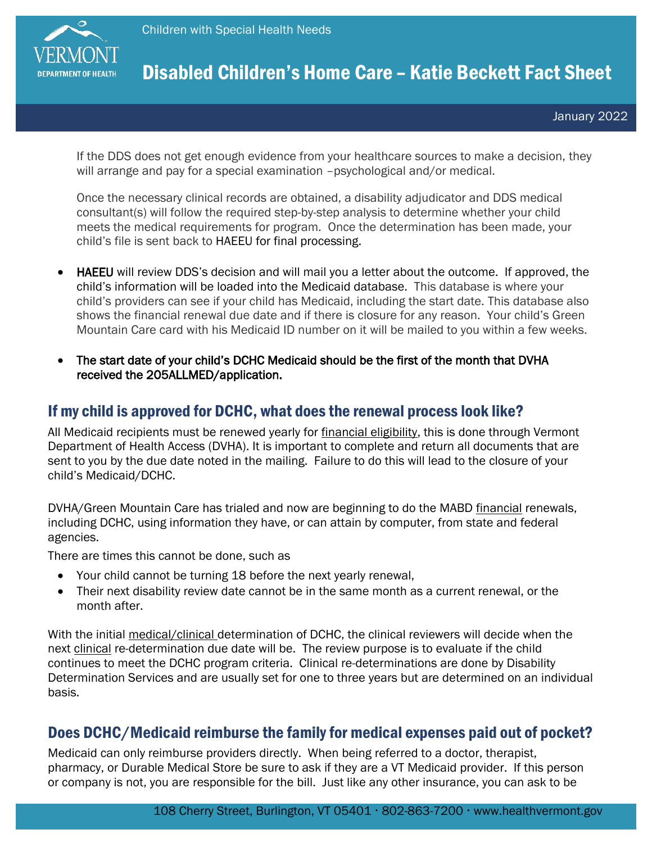

Children with Special Health Needs

# DEPARTMENT OF HEALTH **Disabled Children's Home Care – Katie Beckett Fact Sheet**

January 2022

If the DDS does not get enough evidence from your healthcare sources to make a decision, they will arrange and pay for a special examination –psychological and/or medical.

Once the necessary clinical records are obtained, a disability adjudicator and DDS medical consultant(s) will follow the required step-by-step analysis to determine whether your child meets the medical requirements for program. Once the determination has been made, your child's file is sent back to HAEEU for final processing.

- HAEEU will review DDS's decision and will mail you a letter about the outcome. If approved, the child's information will be loaded into the Medicaid database. This database is where your child's providers can see if your child has Medicaid, including the start date. This database also shows the financial renewal due date and if there is closure for any reason. Your child's Green Mountain Care card with his Medicaid ID number on it will be mailed to you within a few weeks.
- The start date of your child's DCHC Medicaid should be the first of the month that DVHA received the 205ALLMED/application.

## If my child is approved for DCHC, what does the renewal process look like?

All Medicaid recipients must be renewed yearly for financial eligibility, this is done through Vermont Department of Health Access (DVHA). It is important to complete and return all documents that are sent to you by the due date noted in the mailing. Failure to do this will lead to the closure of your child's Medicaid/DCHC.

DVHA/Green Mountain Care has trialed and now are beginning to do the MABD financial renewals, including DCHC, using information they have, or can attain by computer, from state and federal agencies.

There are times this cannot be done, such as

- Your child cannot be turning 18 before the next yearly renewal,
- Their next disability review date cannot be in the same month as a current renewal, or the month after.

With the initial medical/clinical determination of DCHC, the clinical reviewers will decide when the next clinical re-determination due date will be. The review purpose is to evaluate if the child continues to meet the DCHC program criteria. Clinical re-determinations are done by Disability Determination Services and are usually set for one to three years but are determined on an individual basis.

## Does DCHC/Medicaid reimburse the family for medical expenses paid out of pocket?

Medicaid can only reimburse providers directly. When being referred to a doctor, therapist, pharmacy, or Durable Medical Store be sure to ask if they are a VT Medicaid provider. If this person or company is not, you are responsible for the bill. Just like any other insurance, you can ask to be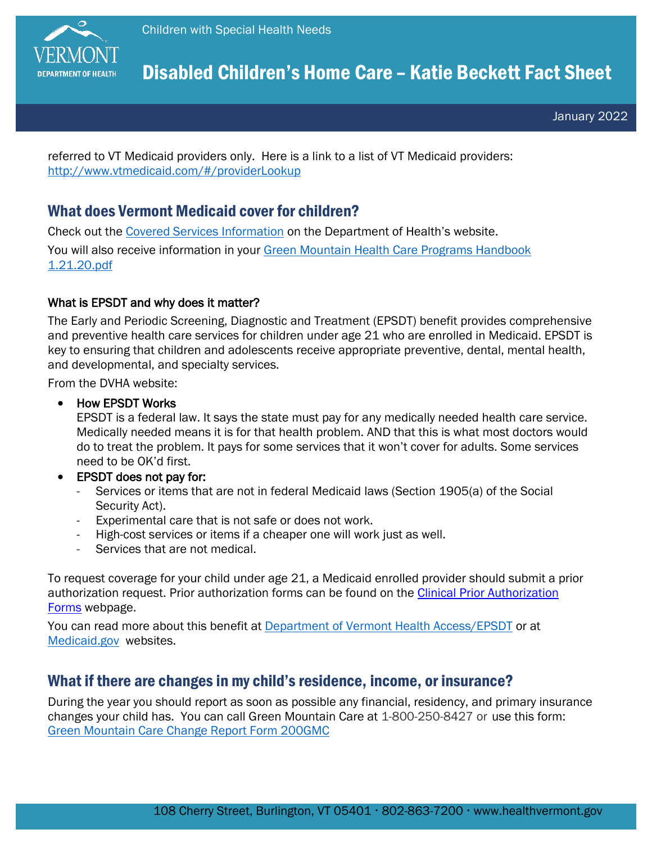

# DEPARTMENT OF HEALTH **Disabled Children's Home Care – Katie Beckett Fact Sheet**

referred to VT Medicaid providers only. Here is a link to a list of VT Medicaid providers: <http://www.vtmedicaid.com/#/providerLookup>

## What does Vermont Medicaid cover for children?

Check out the [Covered Services Information](https://dvha.vermont.gov/members/dr-dynasaur) on the Department of Health's website.

You will also receive information in your Green Mountain Health Care Programs Handbook [1.21.20.pdf](https://dvha.vermont.gov/sites/dvha/files/documents/Members/VT_Hlthcare%20Programs%20Handbook_%202019%20final%20update%201.21.20.pdf)

#### What is EPSDT and why does it matter?

The Early and Periodic Screening, Diagnostic and Treatment (EPSDT) benefit provides comprehensive and preventive health care services for children under age 21 who are enrolled in Medicaid. EPSDT is key to ensuring that children and adolescents receive appropriate preventive, dental, mental health, and developmental, and specialty services.

From the DVHA website:

#### • How EPSDT Works

 EPSDT is a federal law. It says the state must pay for any medically needed health care service. Medically needed means it is for that health problem. AND that this is what most doctors would do to treat the problem. It pays for some services that it won't cover for adults. Some services need to be OK'd first.

- EPSDT does not pay for:
	- Services or items that are not in federal Medicaid laws (Section 1905(a) of the Social Security Act).
	- Experimental care that is not safe or does not work.
	- High-cost services or items if a cheaper one will work just as well.
	- Services that are not medical.

To request coverage for your child under age 21, a Medicaid enrolled provider should submit a prior authorization request. Prior authorization forms can be found on the [Clinical Prior Authorization](https://dvha.vermont.gov/forms-manuals/forms/clinical-prior-authorization-forms)  [Forms](https://dvha.vermont.gov/forms-manuals/forms/clinical-prior-authorization-forms) webpage.

You can read more about this benefit at [Department of Vermont Health Access/EPSDT](https://dvha.vermont.gov/members/vermont-medicaid-programs/medicaid/epsdt) or at [Medicaid.gov](https://www.medicaid.gov/medicaid/benefits/early-and-periodic-screening-diagnostic-and-treatment/index.html) websites.

### What if there are changes in my child's residence, income, or insurance?

During the year you should report as soon as possible any financial, residency, and primary insurance changes your child has. You can call Green Mountain Care at 1-800-250-8427 or use this form: [Green Mountain Care Change Report Form 200GMC](https://dvha.vermont.gov/sites/dvha/files/documents/Members/200GMC%20fillable%20FINAL.pdf)